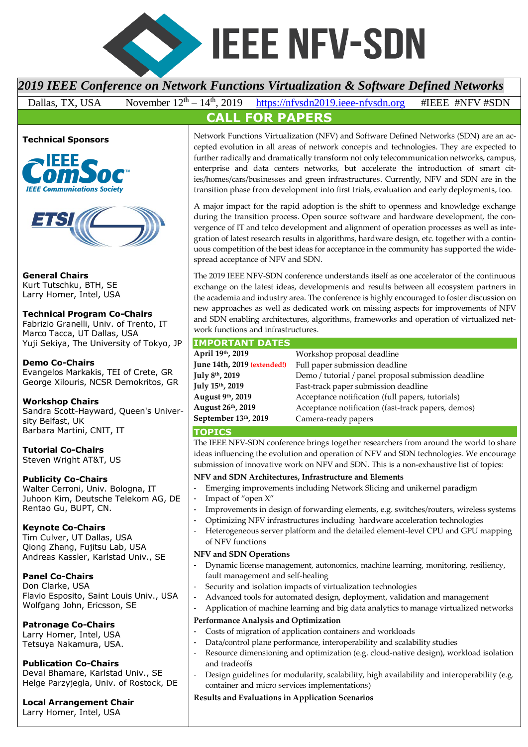

# *2019 IEEE Conference on Network Functions Virtualization & Software Defined Networks*

Dallas, TX, USA November  $12^{th} - 14^{th}$ , 2019 https://nfysdn2019.jeee-nfysdn.org #IEEE #NFV #SDN **CALL FOR PAPERS**







**General Chairs** Kurt Tutschku, BTH, SE Larry Horner, Intel, USA

## **Technical Program Co-Chairs**

Fabrizio Granelli, Univ. of Trento, IT Marco Tacca, UT Dallas, USA Yuji Sekiya, The University of Tokyo, JP

#### **Demo Co-Chairs**

Evangelos Markakis, TEI of Crete, GR George Xilouris, NCSR Demokritos, GR

## **Workshop Chairs**

Sandra Scott-Hayward, Queen's University Belfast, UK Barbara Martini, CNIT, IT

**Tutorial Co-Chairs** Steven Wright AT&T, US

## **Publicity Co-Chairs**

Walter Cerroni, Univ. Bologna, IT Juhoon Kim, Deutsche Telekom AG, DE Rentao Gu, BUPT, CN.

## **Keynote Co-Chairs**

Tim Culver, UT Dallas, USA Qiong Zhang, Fujitsu Lab, USA Andreas Kassler, Karlstad Univ., SE

## **Panel Co-Chairs**

Don Clarke, USA Flavio Esposito, Saint Louis Univ., USA Wolfgang John, Ericsson, SE

## **Patronage Co-Chairs**

Larry Horner, Intel, USA Tetsuya Nakamura, USA.

## **Publication Co-Chairs**

Deval Bhamare, Karlstad Univ., SE Helge Parzyjegla, Univ. of Rostock, DE

## **Local Arrangement Chair**

Larry Horner, Intel, USA

Network Functions Virtualization (NFV) and Software Defined Networks (SDN) are an ac-

cepted evolution in all areas of network concepts and technologies. They are expected to further radically and dramatically transform not only telecommunication networks, campus, enterprise and data centers networks, but accelerate the introduction of smart cities/homes/cars/businesses and green infrastructures. Currently, NFV and SDN are in the transition phase from development into first trials, evaluation and early deployments, too.

A major impact for the rapid adoption is the shift to openness and knowledge exchange during the transition process. Open source software and hardware development, the convergence of IT and telco development and alignment of operation processes as well as integration of latest research results in algorithms, hardware design, etc. together with a continuous competition of the best ideas for acceptance in the community has supported the widespread acceptance of NFV and SDN.

The 2019 IEEE NFV-SDN conference understands itself as one accelerator of the continuous exchange on the latest ideas, developments and results between all ecosystem partners in the academia and industry area. The conference is highly encouraged to foster discussion on new approaches as well as dedicated work on missing aspects for improvements of NFV and SDN enabling architectures, algorithms, frameworks and operation of virtualized network functions and infrastructures.

## **IMPORTANT DATES**

| April 19th, 2019            | Workshop proposal deadline                           |
|-----------------------------|------------------------------------------------------|
| June 14th, 2019 (extended!) | Full paper submission deadline                       |
| July 8 <sup>th</sup> , 2019 | Demo / tutorial / panel proposal submission deadline |
| July 15th, 2019             | Fast-track paper submission deadline                 |
| August 9th, 2019            | Acceptance notification (full papers, tutorials)     |
| August 26th, 2019           | Acceptance notification (fast-track papers, demos)   |
| September 13th, 2019        | Camera-ready papers                                  |

## **TOPICS**

The IEEE NFV-SDN conference brings together researchers from around the world to share ideas influencing the evolution and operation of NFV and SDN technologies. We encourage submission of innovative work on NFV and SDN. This is a non-exhaustive list of topics:

## **NFV and SDN Architectures, Infrastructure and Elements**

- Emerging improvements including Network Slicing and unikernel paradigm
- Impact of "open X"
- Improvements in design of forwarding elements, e.g. switches/routers, wireless systems
- Optimizing NFV infrastructures including hardware acceleration technologies
- Heterogeneous server platform and the detailed element-level CPU and GPU mapping of NFV functions

#### **NFV and SDN Operations**

- Dynamic license management, autonomics, machine learning, monitoring, resiliency, fault management and self-healing
- Security and isolation impacts of virtualization technologies
- Advanced tools for automated design, deployment, validation and management
- Application of machine learning and big data analytics to manage virtualized networks

## **Performance Analysis and Optimization**

- Costs of migration of application containers and workloads
- Data/control plane performance, interoperability and scalability studies
- Resource dimensioning and optimization (e.g. cloud-native design), workload isolation and tradeoffs
- Design guidelines for modularity, scalability, high availability and interoperability (e.g. container and micro services implementations)

## **Results and Evaluations in Application Scenarios**